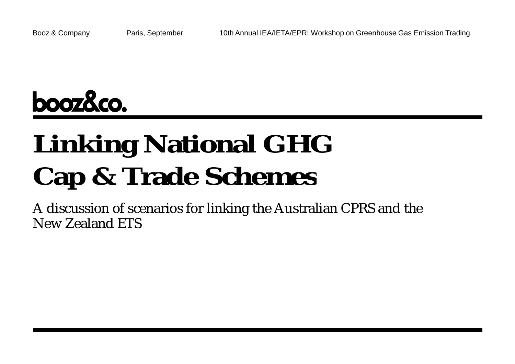

# **Linking National GHG Cap & Trade Schemes**

A discussion of scenarios for linking the Australian CPRS and the New Zealand ETS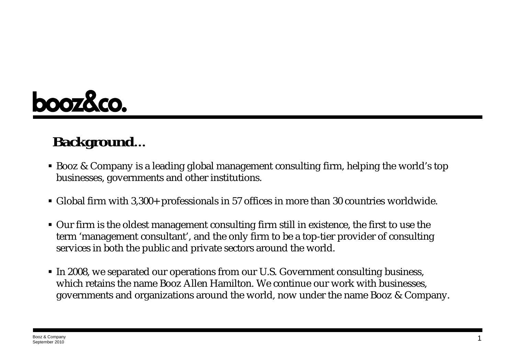

## **Background…**

- Booz & Company is a leading global management consulting firm, helping the world's top businesses, governments and other institutions.
- Global firm with 3,300+ professionals in 57 offices in more than 30 countries worldwide.
- Our firm is the oldest management consulting firm still in existence, the first to use the term 'management consultant', and the only firm to be a top-tier provider of consulting services in both the public and private sectors around the world.
- In 2008, we separated our operations from our U.S. Government consulting business, which retains the name Booz Allen Hamilton. We continue our work with businesses, governments and organizations around the world, now under the name Booz & Company.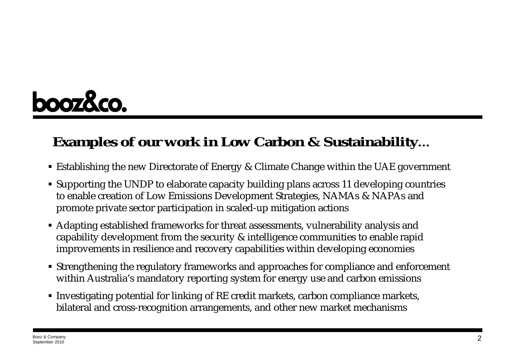

## **Examples of our work in Low Carbon & Sustainability…**

- Establishing the new Directorate of Energy & Climate Change within the UAE government
- Supporting the UNDP to elaborate capacity building plans across 11 developing countries to enable creation of Low Emissions Development Strategies, NAMAs & NAPAs and promote private sector participation in scaled-up mitigation actions
- Adapting established frameworks for threat assessments, vulnerability analysis and capability development from the security & intelligence communities to enable rapid improvements in resilience and recovery capabilities within developing economies
- Strengthening the regulatory frameworks and approaches for compliance and enforcement within Australia's mandatory reporting system for energy use and carbon emissions
- Investigating potential for linking of RE credit markets, carbon compliance markets, bilateral and cross-recognition arrangements, and other new market mechanisms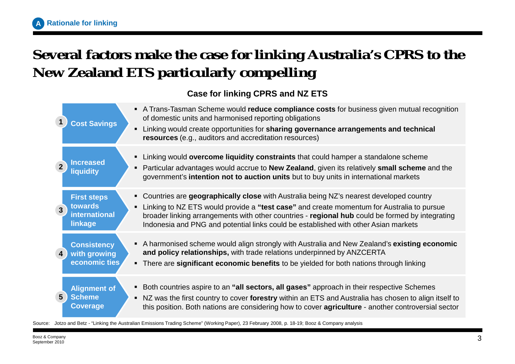## **Several factors make the case for linking Australia's CPRS to the New Zealand ETS particularly compelling**

#### **Case for linking CPRS and NZ ETS**

|                         | <b>Cost Savings</b>                                       | A Trans-Tasman Scheme would reduce compliance costs for business given mutual recognition<br>of domestic units and harmonised reporting obligations<br>Linking would create opportunities for sharing governance arrangements and technical<br>resources (e.g., auditors and accreditation resources)                                                                           |
|-------------------------|-----------------------------------------------------------|---------------------------------------------------------------------------------------------------------------------------------------------------------------------------------------------------------------------------------------------------------------------------------------------------------------------------------------------------------------------------------|
| $\overline{2}$          | <b>Increased</b><br>liquidity                             | Linking would overcome liquidity constraints that could hamper a standalone scheme<br>Particular advantages would accrue to New Zealand, given its relatively small scheme and the<br>government's intention not to auction units but to buy units in international markets                                                                                                     |
| $\overline{3}$          | <b>First steps</b><br>towards<br>international<br>linkage | • Countries are geographically close with Australia being NZ's nearest developed country<br>Linking to NZ ETS would provide a "test case" and create momentum for Australia to pursue<br>broader linking arrangements with other countries - regional hub could be formed by integrating<br>Indonesia and PNG and potential links could be established with other Asian markets |
| $\overline{\mathbf{4}}$ | <b>Consistency</b><br>with growing<br>economic ties       | A harmonised scheme would align strongly with Australia and New Zealand's existing economic<br>and policy relationships, with trade relations underpinned by ANZCERTA<br>• There are significant economic benefits to be yielded for both nations through linking                                                                                                               |
| 5 <sup>5</sup>          | <b>Alignment of</b><br><b>Scheme</b><br><b>Coverage</b>   | Both countries aspire to an "all sectors, all gases" approach in their respective Schemes<br>NZ was the first country to cover forestry within an ETS and Australia has chosen to align itself to<br>this position. Both nations are considering how to cover <b>agriculture</b> - another controversial sector                                                                 |

Source: Jotzo and Betz - "Linking the Australian Emissions Trading Scheme" (Working Paper), 23 February 2008, p. 18-19; Booz & Company analysis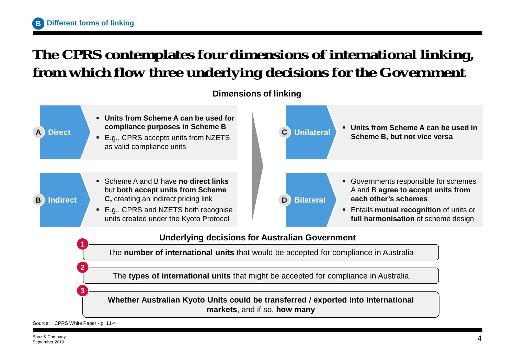#### **The CPRS contemplates four dimensions of international linking, from which flow three underlying decisions for the Government**

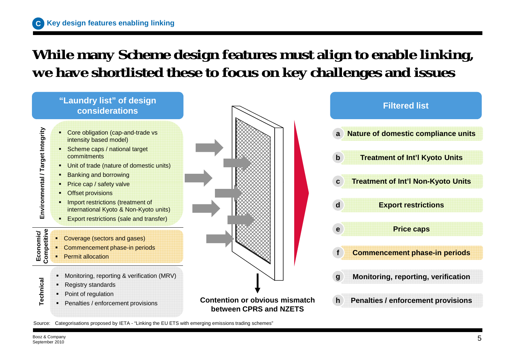#### **While many Scheme design features must align to enable linking, we have shortlisted these to focus on key challenges and issues**



Source: Categorisations proposed by IETA - "Linking the EU ETS with emerging emissions trading schemes"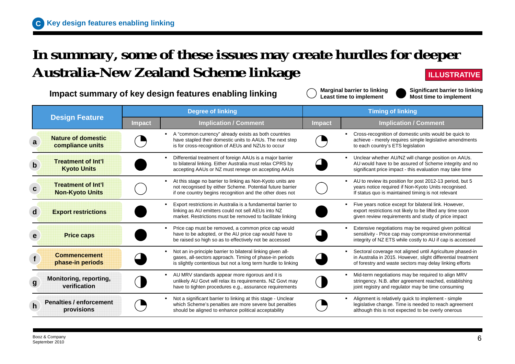#### **In summary, some of these issues may create hurdles for deeper Australia-New Zealand Scheme linkage ILLUSTRATIVE**

**Impact summary of key design features enabling linking**

**Marginal barrier to linking Least time to implement**

**Significant barrier to linking Most time to implement**

|              |                                                      | <b>Degree of linking</b> |                                                                                                                                                                                                           | <b>Timing of linking</b> |                                                                                                                                                                                      |
|--------------|------------------------------------------------------|--------------------------|-----------------------------------------------------------------------------------------------------------------------------------------------------------------------------------------------------------|--------------------------|--------------------------------------------------------------------------------------------------------------------------------------------------------------------------------------|
|              | <b>Design Feature</b>                                | <b>Impact</b>            | <b>Implication / Comment</b>                                                                                                                                                                              | <b>Impact</b>            | <b>Implication / Comment</b>                                                                                                                                                         |
| a            | <b>Nature of domestic</b><br>compliance units        |                          | A "common currency" already exists as both countries<br>have stapled their domestic units to AAUs. The next step<br>is for cross-recognition of AEUs and NZUs to occur                                    |                          | Cross-recognition of domestic units would be quick to<br>achieve - merely requires simple legislative amendments<br>to each country's ETS legislation                                |
| $\mathbf b$  | <b>Treatment of Int'l</b><br><b>Kyoto Units</b>      |                          | Differential treatment of foreign AAUs is a major barrier<br>$\blacksquare$<br>to bilateral linking. Either Australia must relax CPRS by<br>accepting AAUs or NZ must renege on accepting AAUs            |                          | Unclear whether AU/NZ will change position on AAUs.<br>٠<br>AU would have to be assured of Scheme integrity and no<br>significant price impact - this evaluation may take time       |
|              | <b>Treatment of Int'll</b><br><b>Non-Kyoto Units</b> |                          | At this stage no barrier to linking as Non-Kyoto units are<br>$\blacksquare$<br>not recognised by either Scheme. Potential future barrier<br>if one country begins recognition and the other does not     |                          | AU to review its position for post 2012-13 period, but 5<br>years notice required if Non-Kyoto Units recognised.<br>If status quo is maintained timing is not relevant               |
| d            | <b>Export restrictions</b>                           |                          | Export restrictions in Australia is a fundamental barrier to<br>linking as AU emitters could not sell AEUs into NZ<br>market. Restrictions must be removed to facilitate linking                          |                          | Five years notice except for bilateral link. However,<br>export restrictions not likely to be lifted any time soon<br>given review requirements and study of price impact            |
|              | <b>Price caps</b>                                    |                          | Price cap must be removed, a common price cap would<br>have to be adopted, or the AU price cap would have to<br>be raised so high so as to effectively not be accessed                                    |                          | Extensive negotiations may be required given political<br>sensitivity - Price cap may compromise environmental<br>integrity of NZ ETS while costly to AU if cap is accessed          |
|              | <b>Commencement</b><br>phase-in periods              |                          | Not an in-principle barrier to bilateral linking given all-<br>$\blacksquare$<br>gases, all-sectors approach. Timing of phase-in periods<br>is slightly contentious but not a long term hurdle to linking |                          | Sectoral coverage not aligned until Agriculture phased-in<br>in Australia in 2015. However, slight differential treatment<br>of forestry and waste sectors may delay linking efforts |
| $\mathbf{g}$ | Monitoring, reporting,<br>verification               |                          | AU MRV standards appear more rigorous and it is<br>$\blacksquare$<br>unlikely AU Govt will relax its requirements. NZ Govt may<br>have to tighten procedures e.g., assurance requirements                 |                          | Mid-term negotiations may be required to align MRV<br>stringency. N.B. after agreement reached, establishing<br>joint registry and regulator may be time consuming                   |
| $\mathsf{h}$ | <b>Penalties / enforcement</b><br><b>provisions</b>  |                          | Not a significant barrier to linking at this stage - Unclear<br>which Scheme's penalties are more severe but penalties<br>should be aligned to enhance political acceptability                            |                          | Alignment is relatively quick to implement - simple<br>legislative change. Time is needed to reach agreement<br>although this is not expected to be overly onerous                   |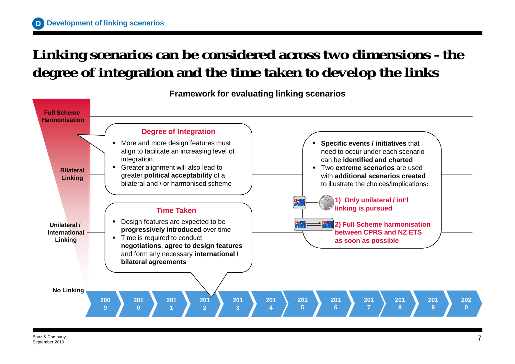#### **Linking scenarios can be considered across two dimensions - the degree of integration and the time taken to develop the links**

**Framework for evaluating linking scenarios**

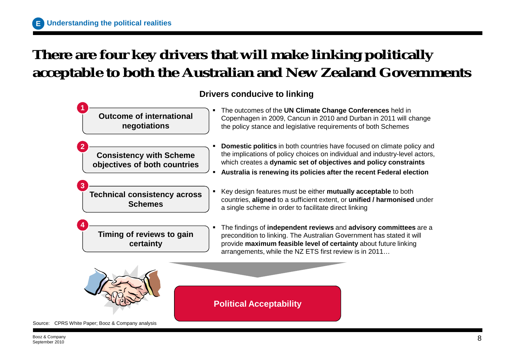## **There are four key drivers that will make linking politically acceptable to both the Australian and New Zealand Governments**

#### **Drivers conducive to linking**



Source: CPRS White Paper; Booz & Company analysis